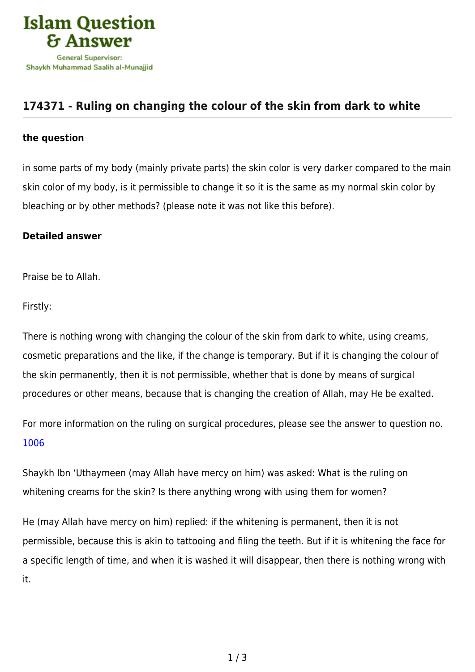

## **[174371 - Ruling on changing the colour of the skin from dark to white](https://islamqa.com/en/answers/174371/ruling-on-changing-the-colour-of-the-skin-from-dark-to-white)**

## **the question**

in some parts of my body (mainly private parts) the skin color is very darker compared to the main skin color of my body, is it permissible to change it so it is the same as my normal skin color by bleaching or by other methods? (please note it was not like this before).

## **Detailed answer**

Praise be to Allah.

Firstly:

There is nothing wrong with changing the colour of the skin from dark to white, using creams, cosmetic preparations and the like, if the change is temporary. But if it is changing the colour of the skin permanently, then it is not permissible, whether that is done by means of surgical procedures or other means, because that is changing the creation of Allah, may He be exalted.

For more information on the ruling on surgical procedures, please see the answer to question no. [1006](https://islamqa.com/en/answers/1006)

Shaykh Ibn 'Uthaymeen (may Allah have mercy on him) was asked: What is the ruling on whitening creams for the skin? Is there anything wrong with using them for women?

He (may Allah have mercy on him) replied: if the whitening is permanent, then it is not permissible, because this is akin to tattooing and filing the teeth. But if it is whitening the face for a specific length of time, and when it is washed it will disappear, then there is nothing wrong with it.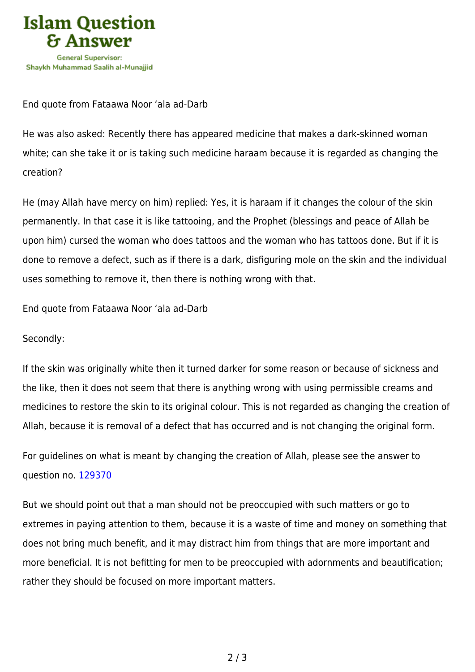

End quote from Fataawa Noor 'ala ad-Darb

He was also asked: Recently there has appeared medicine that makes a dark-skinned woman white; can she take it or is taking such medicine haraam because it is regarded as changing the creation?

He (may Allah have mercy on him) replied: Yes, it is haraam if it changes the colour of the skin permanently. In that case it is like tattooing, and the Prophet (blessings and peace of Allah be upon him) cursed the woman who does tattoos and the woman who has tattoos done. But if it is done to remove a defect, such as if there is a dark, disfiguring mole on the skin and the individual uses something to remove it, then there is nothing wrong with that.

End quote from Fataawa Noor 'ala ad-Darb

Secondly:

If the skin was originally white then it turned darker for some reason or because of sickness and the like, then it does not seem that there is anything wrong with using permissible creams and medicines to restore the skin to its original colour. This is not regarded as changing the creation of Allah, because it is removal of a defect that has occurred and is not changing the original form.

For guidelines on what is meant by changing the creation of Allah, please see the answer to question no. [129370](https://islamqa.com/en/answers/12937)

But we should point out that a man should not be preoccupied with such matters or go to extremes in paying attention to them, because it is a waste of time and money on something that does not bring much benefit, and it may distract him from things that are more important and more beneficial. It is not befitting for men to be preoccupied with adornments and beautification; rather they should be focused on more important matters.